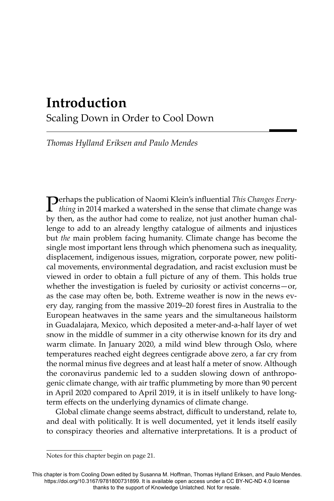# **Introduction** Scaling Down in Order to Cool Down

*Thomas Hylland Eriksen and Paulo Mendes*

**Perhaps the publication of Naomi Klein's influential** *This Changes Every-*<br>*thing* in 2014 marked a watershed in the sense that climate change was by then, as the author had come to realize, not just another human challenge to add to an already lengthy catalogue of ailments and injustices but *the* main problem facing humanity. Climate change has become the single most important lens through which phenomena such as inequality, displacement, indigenous issues, migration, corporate power, new political movements, environmental degradation, and racist exclusion must be viewed in order to obtain a full picture of any of them. This holds true whether the investigation is fueled by curiosity or activist concerns—or, as the case may often be, both. Extreme weather is now in the news every day, ranging from the massive 2019–20 forest fires in Australia to the European heatwaves in the same years and the simultaneous hailstorm in Guadalajara, Mexico, which deposited a meter-and-a-half layer of wet snow in the middle of summer in a city otherwise known for its dry and warm climate. In January 2020, a mild wind blew through Oslo, where temperatures reached eight degrees centigrade above zero, a far cry from the normal minus five degrees and at least half a meter of snow. Although the coronavirus pandemic led to a sudden slowing down of anthropogenic climate change, with air traffic plummeting by more than 90 percent in April 2020 compared to April 2019, it is in itself unlikely to have longterm effects on the underlying dynamics of climate change.

Global climate change seems abstract, difficult to understand, relate to, and deal with politically. It is well documented, yet it lends itself easily to conspiracy theories and alternative interpretations. It is a product of

Notes for this chapter begin on page 21.

This chapter is from Cooling Down edited by Susanna M. Hoffman, Thomas Hylland Eriksen, and Paulo Mendes. https://doi.org/10.3167/9781800731899. It is available open access under a CC BY-NC-ND 4.0 license thanks to the support of Knowledge Unlatched. Not for resale.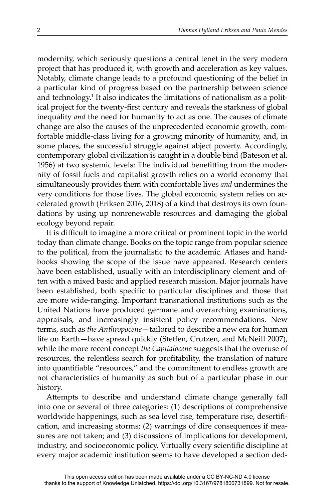modernity, which seriously questions a central tenet in the very modern project that has produced it, with growth and acceleration as key values. Notably, climate change leads to a profound questioning of the belief in a particular kind of progress based on the partnership between science and technology.<sup>1</sup> It also indicates the limitations of nationalism as a political project for the twenty-first century and reveals the starkness of global inequality *and* the need for humanity to act as one. The causes of climate change are also the causes of the unprecedented economic growth, comfortable middle-class living for a growing minority of humanity, and, in some places, the successful struggle against abject poverty. Accordingly, contemporary global civilization is caught in a double bind (Bateson et al. 1956) at two systemic levels: The individual benefitting from the modernity of fossil fuels and capitalist growth relies on a world economy that simultaneously provides them with comfortable lives *and* undermines the very conditions for those lives. The global economic system relies on accelerated growth (Eriksen 2016, 2018) of a kind that destroys its own foundations by using up nonrenewable resources and damaging the global ecology beyond repair.

It is difficult to imagine a more critical or prominent topic in the world today than climate change. Books on the topic range from popular science to the political, from the journalistic to the academic. Atlases and handbooks showing the scope of the issue have appeared. Research centers have been established, usually with an interdisciplinary element and often with a mixed basic and applied research mission. Major journals have been established, both specific to particular disciplines and those that are more wide-ranging. Important transnational institutions such as the United Nations have produced germane and overarching examinations, appraisals, and increasingly insistent policy recommendations. New terms, such as *the Anthropocene*—tailored to describe a new era for human life on Earth-have spread quickly (Steffen, Crutzen, and McNeill 2007), while the more recent concept *the Capitalocene* suggests that the overuse of resources, the relentless search for profitability, the translation of nature into quantifiable "resources," and the commitment to endless growth are not characteristics of humanity as such but of a particular phase in our history.

Attempts to describe and understand climate change generally fall into one or several of three categories: (1) descriptions of comprehensive worldwide happenings, such as sea level rise, temperature rise, desertification, and increasing storms; (2) warnings of dire consequences if measures are not taken; and (3) discussions of implications for development, industry, and socioeconomic policy. Virtually every scientific discipline at every major academic institution seems to have developed a section ded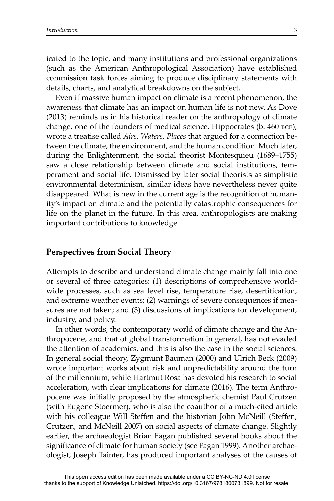icated to the topic, and many institutions and professional organizations (such as the American Anthropological Association) have established commission task forces aiming to produce disciplinary statements with details, charts, and analytical breakdowns on the subject.

Even if massive human impact on climate is a recent phenomenon, the awareness that climate has an impact on human life is not new. As Dove (2013) reminds us in his historical reader on the anthropology of climate change, one of the founders of medical science, Hippocrates (b. 460 bce), wrote a treatise called *Airs, Waters, Places* that argued for a connection between the climate, the environment, and the human condition. Much later, during the Enlightenment, the social theorist Montesquieu (1689–1755) saw a close relationship between climate and social institutions, temperament and social life. Dismissed by later social theorists as simplistic environmental determinism, similar ideas have nevertheless never quite disappeared. What is new in the current age is the recognition of humanity's impact on climate and the potentially catastrophic consequences for life on the planet in the future. In this area, anthropologists are making important contributions to knowledge.

## **Perspectives from Social Theory**

Attempts to describe and understand climate change mainly fall into one or several of three categories: (1) descriptions of comprehensive worldwide processes, such as sea level rise, temperature rise, desertification, and extreme weather events; (2) warnings of severe consequences if measures are not taken; and (3) discussions of implications for development, industry, and policy.

In other words, the contemporary world of climate change and the Anthropocene, and that of global transformation in general, has not evaded the attention of academics, and this is also the case in the social sciences. In general social theory, Zygmunt Bauman (2000) and Ulrich Beck (2009) wrote important works about risk and unpredictability around the turn of the millennium, while Hartmut Rosa has devoted his research to social acceleration, with clear implications for climate (2016). The term Anthropocene was initially proposed by the atmospheric chemist Paul Crutzen (with Eugene Stoermer), who is also the coauthor of a much-cited article with his colleague Will Steffen and the historian John McNeill (Steffen, Crutzen, and McNeill 2007) on social aspects of climate change. Slightly earlier, the archaeologist Brian Fagan published several books about the significance of climate for human society (see Fagan 1999). Another archaeologist, Joseph Tainter, has produced important analyses of the causes of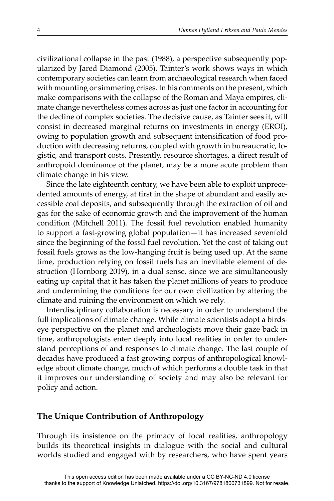civilizational collapse in the past (1988), a perspective subsequently popularized by Jared Diamond (2005). Tainter's work shows ways in which contemporary societies can learn from archaeological research when faced with mounting or simmering crises. In his comments on the present, which make comparisons with the collapse of the Roman and Maya empires, climate change nevertheless comes across as just one factor in accounting for the decline of complex societies. The decisive cause, as Tainter sees it, will consist in decreased marginal returns on investments in energy (EROI), owing to population growth and subsequent intensification of food production with decreasing returns, coupled with growth in bureaucratic, logistic, and transport costs. Presently, resource shortages, a direct result of anthropoid dominance of the planet, may be a more acute problem than climate change in his view.

Since the late eighteenth century, we have been able to exploit unprecedented amounts of energy, at first in the shape of abundant and easily accessible coal deposits, and subsequently through the extraction of oil and gas for the sake of economic growth and the improvement of the human condition (Mitchell 2011). The fossil fuel revolution enabled humanity to support a fast-growing global population—it has increased sevenfold since the beginning of the fossil fuel revolution. Yet the cost of taking out fossil fuels grows as the low-hanging fruit is being used up. At the same time, production relying on fossil fuels has an inevitable element of destruction (Hornborg 2019), in a dual sense, since we are simultaneously eating up capital that it has taken the planet millions of years to produce and undermining the conditions for our own civilization by altering the climate and ruining the environment on which we rely.

Interdisciplinary collaboration is necessary in order to understand the full implications of climate change. While climate scientists adopt a birdseye perspective on the planet and archeologists move their gaze back in time, anthropologists enter deeply into local realities in order to understand perceptions of and responses to climate change. The last couple of decades have produced a fast growing corpus of anthropological knowledge about climate change, much of which performs a double task in that it improves our understanding of society and may also be relevant for policy and action.

### **The Unique Contribution of Anthropology**

Through its insistence on the primacy of local realities, anthropology builds its theoretical insights in dialogue with the social and cultural worlds studied and engaged with by researchers, who have spent years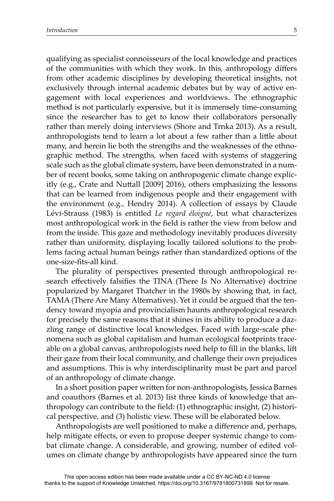qualifying as specialist connoisseurs of the local knowledge and practices of the communities with which they work. In this, anthropology differs from other academic disciplines by developing theoretical insights, not exclusively through internal academic debates but by way of active engagement with local experiences and worldviews. The ethnographic method is not particularly expensive, but it is immensely time-consuming since the researcher has to get to know their collaborators personally rather than merely doing interviews (Shore and Trnka 2013). As a result, anthropologists tend to learn a lot about a few rather than a little about many, and herein lie both the strengths and the weaknesses of the ethnographic method. The strengths, when faced with systems of staggering scale such as the global climate system, have been demonstrated in a number of recent books, some taking on anthropogenic climate change explicitly (e.g., Crate and Nuttall [2009] 2016), others emphasizing the lessons that can be learned from indigenous people and their engagement with the environment (e.g., Hendry 2014). A collection of essays by Claude Lévi-Strauss (1983) is entitled *Le regard éloigné*, but what characterizes most anthropological work in the field is rather the view from below and from the inside. This gaze and methodology inevitably produces diversity rather than uniformity, displaying locally tailored solutions to the problems facing actual human beings rather than standardized options of the one-size-fits-all kind.

The plurality of perspectives presented through anthropological research effectively falsifies the TINA (There Is No Alternative) doctrine popularized by Margaret Thatcher in the 1980s by showing that, in fact, TAMA (There Are Many Alternatives). Yet it could be argued that the tendency toward myopia and provincialism haunts anthropological research for precisely the same reasons that it shines in its ability to produce a dazzling range of distinctive local knowledges. Faced with large-scale phenomena such as global capitalism and human ecological footprints traceable on a global canvas, anthropologists need help to fill in the blanks, lift their gaze from their local community, and challenge their own prejudices and assumptions. This is why interdisciplinarity must be part and parcel of an anthropology of climate change.

In a short position paper written for non-anthropologists, Jessica Barnes and coauthors (Barnes et al. 2013) list three kinds of knowledge that anthropology can contribute to the field: (1) ethnographic insight, (2) historical perspective, and (3) holistic view. These will be elaborated below.

Anthropologists are well positioned to make a difference and, perhaps, help mitigate effects, or even to propose deeper systemic change to combat climate change. A considerable, and growing, number of edited volumes on climate change by anthropologists have appeared since the turn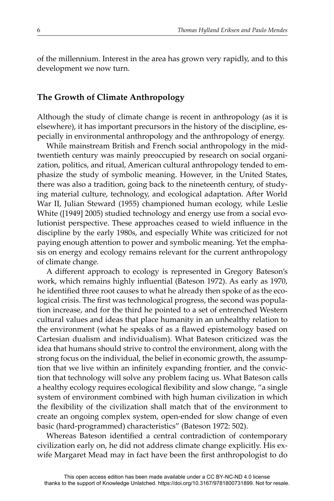of the millennium. Interest in the area has grown very rapidly, and to this development we now turn.

#### **The Growth of Climate Anthropology**

Although the study of climate change is recent in anthropology (as it is elsewhere), it has important precursors in the history of the discipline, especially in environmental anthropology and the anthropology of energy.

While mainstream British and French social anthropology in the midtwentieth century was mainly preoccupied by research on social organization, politics, and ritual, American cultural anthropology tended to emphasize the study of symbolic meaning. However, in the United States, there was also a tradition, going back to the nineteenth century, of studying material culture, technology, and ecological adaptation. After World War II, Julian Steward (1955) championed human ecology, while Leslie White ([1949] 2005) studied technology and energy use from a social evolutionist perspective. These approaches ceased to wield influence in the discipline by the early 1980s, and especially White was criticized for not paying enough attention to power and symbolic meaning. Yet the emphasis on energy and ecology remains relevant for the current anthropology of climate change.

A different approach to ecology is represented in Gregory Bateson's work, which remains highly influential (Bateson 1972). As early as 1970, he identified three root causes to what he already then spoke of as the ecological crisis. The first was technological progress, the second was population increase, and for the third he pointed to a set of entrenched Western cultural values and ideas that place humanity in an unhealthy relation to the environment (what he speaks of as a flawed epistemology based on Cartesian dualism and individualism). What Bateson criticized was the idea that humans should strive to control the environment, along with the strong focus on the individual, the belief in economic growth, the assumption that we live within an infinitely expanding frontier, and the conviction that technology will solve any problem facing us. What Bateson calls a healthy ecology requires ecological flexibility and slow change, "a single system of environment combined with high human civilization in which the flexibility of the civilization shall match that of the environment to create an ongoing complex system, open-ended for slow change of even basic (hard-programmed) characteristics" (Bateson 1972: 502).

Whereas Bateson identified a central contradiction of contemporary civilization early on, he did not address climate change explicitly. His exwife Margaret Mead may in fact have been the first anthropologist to do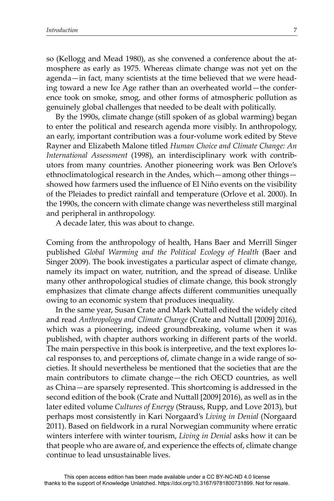so (Kellogg and Mead 1980), as she convened a conference about the atmosphere as early as 1975. Whereas climate change was not yet on the agenda—in fact, many scientists at the time believed that we were heading toward a new Ice Age rather than an overheated world—the conference took on smoke, smog, and other forms of atmospheric pollution as genuinely global challenges that needed to be dealt with politically.

By the 1990s, climate change (still spoken of as global warming) began to enter the political and research agenda more visibly. In anthropology, an early, important contribution was a four-volume work edited by Steve Rayner and Elizabeth Malone titled *Human Choice and Climate Change: An International Assessment* (1998), an interdisciplinary work with contributors from many countries. Another pioneering work was Ben Orlove's ethnoclimatological research in the Andes, which—among other things showed how farmers used the influence of El Niño events on the visibility of the Pleiades to predict rainfall and temperature (Orlove et al. 2000). In the 1990s, the concern with climate change was nevertheless still marginal and peripheral in anthropology.

A decade later, this was about to change.

Coming from the anthropology of health, Hans Baer and Merrill Singer published *Global Warming and the Political Ecology of Health* (Baer and Singer 2009). The book investigates a particular aspect of climate change, namely its impact on water, nutrition, and the spread of disease. Unlike many other anthropological studies of climate change, this book strongly emphasizes that climate change affects different communities unequally owing to an economic system that produces inequality.

In the same year, Susan Crate and Mark Nuttall edited the widely cited and read *Anthropology and Climate Change* (Crate and Nuttall [2009] 2016), which was a pioneering, indeed groundbreaking, volume when it was published, with chapter authors working in different parts of the world. The main perspective in this book is interpretive, and the text explores local responses to, and perceptions of, climate change in a wide range of societies. It should nevertheless be mentioned that the societies that are the main contributors to climate change—the rich OECD countries, as well as China—are sparsely represented. This shortcoming is addressed in the second edition of the book (Crate and Nuttall [2009] 2016), as well as in the later edited volume *Cultures of Energy* (Strauss, Rupp, and Love 2013), but perhaps most consistently in Kari Norgaard's *Living in Denial* (Norgaard 2011). Based on fieldwork in a rural Norwegian community where erratic winters interfere with winter tourism, *Living in Denial* asks how it can be that people who are aware of, and experience the effects of, climate change continue to lead unsustainable lives.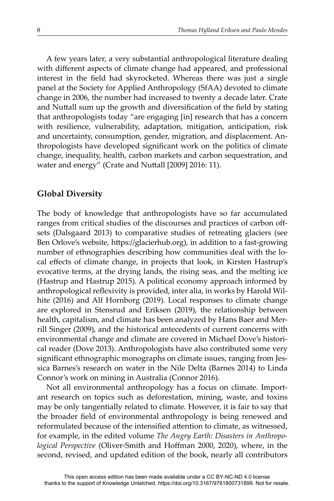A few years later, a very substantial anthropological literature dealing with different aspects of climate change had appeared, and professional interest in the field had skyrocketed. Whereas there was just a single panel at the Society for Applied Anthropology (SfAA) devoted to climate change in 2006, the number had increased to twenty a decade later. Crate and Nuttall sum up the growth and diversification of the field by stating that anthropologists today "are engaging [in] research that has a concern with resilience, vulnerability, adaptation, mitigation, anticipation, risk and uncertainty, consumption, gender, migration, and displacement. Anthropologists have developed significant work on the politics of climate change, inequality, health, carbon markets and carbon sequestration, and water and energy" (Crate and Nuttall [2009] 2016: 11).

### **Global Diversity**

The body of knowledge that anthropologists have so far accumulated ranges from critical studies of the discourses and practices of carbon offsets (Dalsgaard 2013) to comparative studies of retreating glaciers (see Ben Orlove's website, https://glacierhub.org), in addition to a fast-growing number of ethnographies describing how communities deal with the local effects of climate change, in projects that look, in Kirsten Hastrup's evocative terms, at the drying lands, the rising seas, and the melting ice (Hastrup and Hastrup 2015). A political economy approach informed by anthropological reflexivity is provided, inter alia, in works by Harold Wilhite (2016) and Alf Hornborg (2019). Local responses to climate change are explored in Stensrud and Eriksen (2019), the relationship between health, capitalism, and climate has been analyzed by Hans Baer and Merrill Singer (2009), and the historical antecedents of current concerns with environmental change and climate are covered in Michael Dove's historical reader (Dove 2013). Anthropologists have also contributed some very significant ethnographic monographs on climate issues, ranging from Jessica Barnes's research on water in the Nile Delta (Barnes 2014) to Linda Connor's work on mining in Australia (Connor 2016).

Not all environmental anthropology has a focus on climate. Important research on topics such as deforestation, mining, waste, and toxins may be only tangentially related to climate. However, it is fair to say that the broader field of environmental anthropology is being renewed and reformulated because of the intensified attention to climate, as witnessed, for example, in the edited volume *The Angry Earth: Disasters in Anthropological Perspective* (Oliver-Smith and Hoffman 2000, 2020), where, in the second, revised, and updated edition of the book, nearly all contributors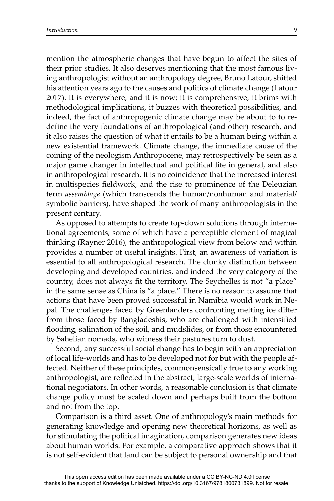mention the atmospheric changes that have begun to affect the sites of their prior studies. It also deserves mentioning that the most famous living anthropologist without an anthropology degree, Bruno Latour, shifted his attention years ago to the causes and politics of climate change (Latour 2017). It is everywhere, and it is now; it is comprehensive, it brims with methodological implications, it buzzes with theoretical possibilities, and indeed, the fact of anthropogenic climate change may be about to to redefine the very foundations of anthropological (and other) research, and it also raises the question of what it entails to be a human being within a new existential framework. Climate change, the immediate cause of the coining of the neologism Anthropocene, may retrospectively be seen as a major game changer in intellectual and political life in general, and also in anthropological research. It is no coincidence that the increased interest in multispecies fieldwork, and the rise to prominence of the Deleuzian term *assemblage* (which transcends the human/nonhuman and material/ symbolic barriers), have shaped the work of many anthropologists in the present century.

As opposed to attempts to create top-down solutions through international agreements, some of which have a perceptible element of magical thinking (Rayner 2016), the anthropological view from below and within provides a number of useful insights. First, an awareness of variation is essential to all anthropological research. The clunky distinction between developing and developed countries, and indeed the very category of the country, does not always fit the territory. The Seychelles is not "a place" in the same sense as China is "a place." There is no reason to assume that actions that have been proved successful in Namibia would work in Nepal. The challenges faced by Greenlanders confronting melting ice differ from those faced by Bangladeshis, who are challenged with intensified flooding, salination of the soil, and mudslides, or from those encountered by Sahelian nomads, who witness their pastures turn to dust.

Second, any successful social change has to begin with an appreciation of local life-worlds and has to be developed not for but with the people affected. Neither of these principles, commonsensically true to any working anthropologist, are reflected in the abstract, large-scale worlds of international negotiators. In other words, a reasonable conclusion is that climate change policy must be scaled down and perhaps built from the bottom and not from the top.

Comparison is a third asset. One of anthropology's main methods for generating knowledge and opening new theoretical horizons, as well as for stimulating the political imagination, comparison generates new ideas about human worlds. For example, a comparative approach shows that it is not self-evident that land can be subject to personal ownership and that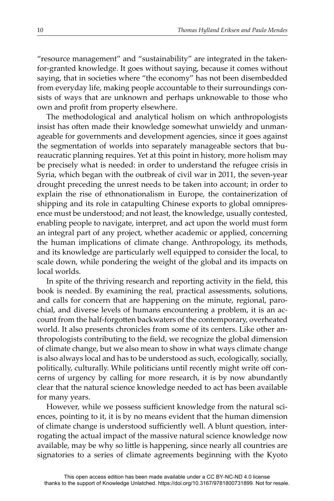"resource management" and "sustainability" are integrated in the takenfor-granted knowledge. It goes without saying, because it comes without saying, that in societies where "the economy" has not been disembedded from everyday life, making people accountable to their surroundings consists of ways that are unknown and perhaps unknowable to those who own and profit from property elsewhere.

The methodological and analytical holism on which anthropologists insist has often made their knowledge somewhat unwieldy and unmanageable for governments and development agencies, since it goes against the segmentation of worlds into separately manageable sectors that bureaucratic planning requires. Yet at this point in history, more holism may be precisely what is needed: in order to understand the refugee crisis in Syria, which began with the outbreak of civil war in 2011, the seven-year drought preceding the unrest needs to be taken into account; in order to explain the rise of ethnonationalism in Europe, the containerization of shipping and its role in catapulting Chinese exports to global omnipresence must be understood; and not least, the knowledge, usually contested, enabling people to navigate, interpret, and act upon the world must form an integral part of any project, whether academic or applied, concerning the human implications of climate change. Anthropology, its methods, and its knowledge are particularly well equipped to consider the local, to scale down, while pondering the weight of the global and its impacts on local worlds.

In spite of the thriving research and reporting activity in the field, this book is needed. By examining the real, practical assessments, solutions, and calls for concern that are happening on the minute, regional, parochial, and diverse levels of humans encountering a problem, it is an account from the half-forgotten backwaters of the contemporary, overheated world. It also presents chronicles from some of its centers. Like other anthropologists contributing to the field, we recognize the global dimension of climate change, but we also mean to show in what ways climate change is also always local and has to be understood as such, ecologically, socially, politically, culturally. While politicians until recently might write off concerns of urgency by calling for more research, it is by now abundantly clear that the natural science knowledge needed to act has been available for many years.

However, while we possess sufficient knowledge from the natural sciences, pointing to it, it is by no means evident that the human dimension of climate change is understood sufficiently well. A blunt question, interrogating the actual impact of the massive natural science knowledge now available, may be why so little is happening, since nearly all countries are signatories to a series of climate agreements beginning with the Kyoto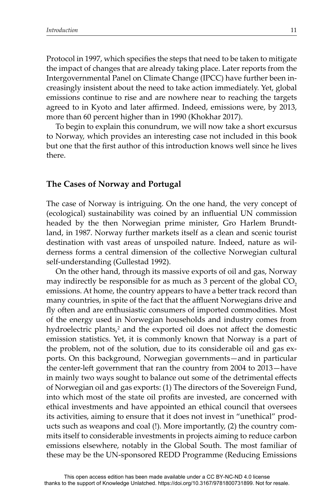Protocol in 1997, which specifies the steps that need to be taken to mitigate the impact of changes that are already taking place. Later reports from the Intergovernmental Panel on Climate Change (IPCC) have further been increasingly insistent about the need to take action immediately. Yet, global emissions continue to rise and are nowhere near to reaching the targets agreed to in Kyoto and later affirmed. Indeed, emissions were, by 2013, more than 60 percent higher than in 1990 (Khokhar 2017).

To begin to explain this conundrum, we will now take a short excursus to Norway, which provides an interesting case not included in this book but one that the first author of this introduction knows well since he lives there.

### **The Cases of Norway and Portugal**

The case of Norway is intriguing. On the one hand, the very concept of (ecological) sustainability was coined by an influential UN commission headed by the then Norwegian prime minister, Gro Harlem Brundtland, in 1987. Norway further markets itself as a clean and scenic tourist destination with vast areas of unspoiled nature. Indeed, nature as wilderness forms a central dimension of the collective Norwegian cultural self-understanding (Gullestad 1992).

On the other hand, through its massive exports of oil and gas, Norway may indirectly be responsible for as much as 3 percent of the global CO<sub>2</sub> emissions. At home, the country appears to have a better track record than many countries, in spite of the fact that the affluent Norwegians drive and fly often and are enthusiastic consumers of imported commodities. Most of the energy used in Norwegian households and industry comes from hydroelectric plants,<sup>2</sup> and the exported oil does not affect the domestic emission statistics. Yet, it is commonly known that Norway is a part of the problem, not of the solution, due to its considerable oil and gas exports. On this background, Norwegian governments—and in particular the center-left government that ran the country from 2004 to 2013—have in mainly two ways sought to balance out some of the detrimental effects of Norwegian oil and gas exports: (1) The directors of the Sovereign Fund, into which most of the state oil profits are invested, are concerned with ethical investments and have appointed an ethical council that oversees its activities, aiming to ensure that it does not invest in "unethical" products such as weapons and coal (!). More importantly, (2) the country commits itself to considerable investments in projects aiming to reduce carbon emissions elsewhere, notably in the Global South. The most familiar of these may be the UN-sponsored REDD Programme (Reducing Emissions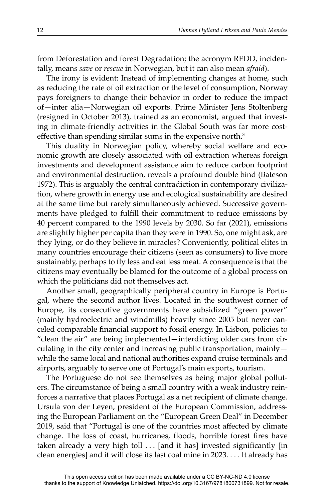from Deforestation and forest Degradation; the acronym REDD, incidentally, means *save* or *rescue* in Norwegian, but it can also mean *afraid*).

The irony is evident: Instead of implementing changes at home, such as reducing the rate of oil extraction or the level of consumption, Norway pays foreigners to change their behavior in order to reduce the impact of—inter alia—Norwegian oil exports. Prime Minister Jens Stoltenberg (resigned in October 2013), trained as an economist, argued that investing in climate-friendly activities in the Global South was far more costeffective than spending similar sums in the expensive north.<sup>3</sup>

This duality in Norwegian policy, whereby social welfare and economic growth are closely associated with oil extraction whereas foreign investments and development assistance aim to reduce carbon footprint and environmental destruction, reveals a profound double bind (Bateson 1972). This is arguably the central contradiction in contemporary civilization, where growth in energy use and ecological sustainability are desired at the same time but rarely simultaneously achieved. Successive governments have pledged to fulfill their commitment to reduce emissions by 40 percent compared to the 1990 levels by 2030. So far (2021), emissions are slightly higher per capita than they were in 1990. So, one might ask, are they lying, or do they believe in miracles? Conveniently, political elites in many countries encourage their citizens (seen as consumers) to live more sustainably, perhaps to fly less and eat less meat. A consequence is that the citizens may eventually be blamed for the outcome of a global process on which the politicians did not themselves act.

Another small, geographically peripheral country in Europe is Portugal, where the second author lives. Located in the southwest corner of Europe, its consecutive governments have subsidized "green power" (mainly hydroelectric and windmills) heavily since 2005 but never canceled comparable financial support to fossil energy. In Lisbon, policies to "clean the air" are being implemented—interdicting older cars from circulating in the city center and increasing public transportation, mainly while the same local and national authorities expand cruise terminals and airports, arguably to serve one of Portugal's main exports, tourism.

The Portuguese do not see themselves as being major global polluters. The circumstance of being a small country with a weak industry reinforces a narrative that places Portugal as a net recipient of climate change. Ursula von der Leyen, president of the European Commission, addressing the European Parliament on the "European Green Deal" in December 2019, said that "Portugal is one of the countries most affected by climate change. The loss of coast, hurricanes, floods, horrible forest fires have taken already a very high toll . . . [and it has] invested significantly [in clean energies] and it will close its last coal mine in 2023. . . . It already has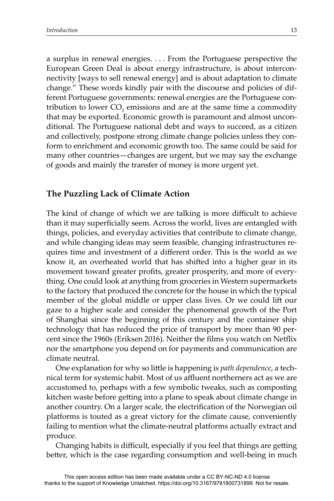a surplus in renewal energies. . . . From the Portuguese perspective the European Green Deal is about energy infrastructure, is about interconnectivity [ways to sell renewal energy] and is about adaptation to climate change." These words kindly pair with the discourse and policies of different Portuguese governments: renewal energies are the Portuguese contribution to lower  $CO_2$  emissions and are at the same time a commodity that may be exported. Economic growth is paramount and almost unconditional. The Portuguese national debt and ways to succeed, as a citizen and collectively, postpone strong climate change policies unless they conform to enrichment and economic growth too. The same could be said for many other countries—changes are urgent, but we may say the exchange of goods and mainly the transfer of money is more urgent yet.

#### **The Puzzling Lack of Climate Action**

The kind of change of which we are talking is more difficult to achieve than it may superficially seem. Across the world, lives are entangled with things, policies, and everyday activities that contribute to climate change, and while changing ideas may seem feasible, changing infrastructures requires time and investment of a different order. This is the world as we know it, an overheated world that has shifted into a higher gear in its movement toward greater profits, greater prosperity, and more of everything. One could look at anything from groceries in Western supermarkets to the factory that produced the concrete for the house in which the typical member of the global middle or upper class lives. Or we could lift our gaze to a higher scale and consider the phenomenal growth of the Port of Shanghai since the beginning of this century and the container ship technology that has reduced the price of transport by more than 90 percent since the 1960s (Eriksen 2016). Neither the films you watch on Netflix nor the smartphone you depend on for payments and communication are climate neutral.

One explanation for why so little is happening is *path dependence*, a technical term for systemic habit. Most of us affluent northerners act as we are accustomed to, perhaps with a few symbolic tweaks, such as composting kitchen waste before getting into a plane to speak about climate change in another country. On a larger scale, the electrification of the Norwegian oil platforms is touted as a great victory for the climate cause, conveniently failing to mention what the climate-neutral platforms actually extract and produce.

Changing habits is difficult, especially if you feel that things are getting better, which is the case regarding consumption and well-being in much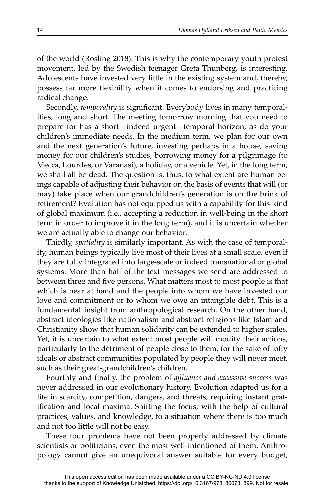of the world (Rosling 2018). This is why the contemporary youth protest movement, led by the Swedish teenager Greta Thunberg, is interesting. Adolescents have invested very little in the existing system and, thereby, possess far more flexibility when it comes to endorsing and practicing radical change.

Secondly, *temporality* is significant. Everybody lives in many temporalities, long and short. The meeting tomorrow morning that you need to prepare for has a short—indeed urgent—temporal horizon, as do your children's immediate needs. In the medium term, we plan for our own and the next generation's future, investing perhaps in a house, saving money for our children's studies, borrowing money for a pilgrimage (to Mecca, Lourdes, or Varanasi), a holiday, or a vehicle. Yet, in the long term, we shall all be dead. The question is, thus, to what extent are human beings capable of adjusting their behavior on the basis of events that will (or may) take place when our grandchildren's generation is on the brink of retirement? Evolution has not equipped us with a capability for this kind of global maximum (i.e., accepting a reduction in well-being in the short term in order to improve it in the long term), and it is uncertain whether we are actually able to change our behavior.

Thirdly, *spatiality* is similarly important. As with the case of temporality, human beings typically live most of their lives at a small scale, even if they are fully integrated into large-scale or indeed transnational or global systems. More than half of the text messages we send are addressed to between three and five persons. What matters most to most people is that which is near at hand and the people into whom we have invested our love and commitment or to whom we owe an intangible debt. This is a fundamental insight from anthropological research. On the other hand, abstract ideologies like nationalism and abstract religions like Islam and Christianity show that human solidarity can be extended to higher scales. Yet, it is uncertain to what extent most people will modify their actions, particularly to the detriment of people close to them, for the sake of lofty ideals or abstract communities populated by people they will never meet, such as their great-grandchildren's children.

Fourthly and finally, the problem of *affluence and excessive success* was never addressed in our evolutionary history. Evolution adapted us for a life in scarcity, competition, dangers, and threats, requiring instant gratification and local maxima. Shifting the focus, with the help of cultural practices, values, and knowledge, to a situation where there is too much and not too little will not be easy.

These four problems have not been properly addressed by climate scientists or politicians, even the most well-intentioned of them. Anthropology cannot give an unequivocal answer suitable for every budget,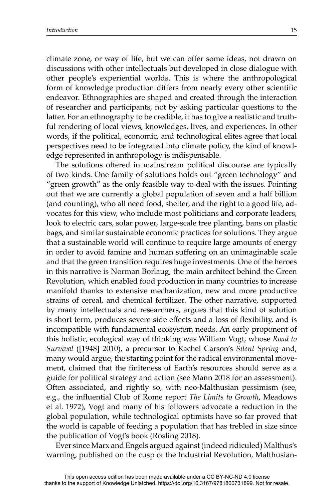climate zone, or way of life, but we can offer some ideas, not drawn on discussions with other intellectuals but developed in close dialogue with other people's experiential worlds. This is where the anthropological form of knowledge production differs from nearly every other scientific endeavor. Ethnographies are shaped and created through the interaction of researcher and participants, not by asking particular questions to the latter. For an ethnography to be credible, it has to give a realistic and truthful rendering of local views, knowledges, lives, and experiences. In other words, if the political, economic, and technological elites agree that local perspectives need to be integrated into climate policy, the kind of knowledge represented in anthropology is indispensable.

The solutions offered in mainstream political discourse are typically of two kinds. One family of solutions holds out "green technology" and "green growth" as the only feasible way to deal with the issues. Pointing out that we are currently a global population of seven and a half billion (and counting), who all need food, shelter, and the right to a good life, advocates for this view, who include most politicians and corporate leaders, look to electric cars, solar power, large-scale tree planting, bans on plastic bags, and similar sustainable economic practices for solutions. They argue that a sustainable world will continue to require large amounts of energy in order to avoid famine and human suffering on an unimaginable scale and that the green transition requires huge investments. One of the heroes in this narrative is Norman Borlaug, the main architect behind the Green Revolution, which enabled food production in many countries to increase manifold thanks to extensive mechanization, new and more productive strains of cereal, and chemical fertilizer. The other narrative, supported by many intellectuals and researchers, argues that this kind of solution is short term, produces severe side effects and a loss of flexibility, and is incompatible with fundamental ecosystem needs. An early proponent of this holistic, ecological way of thinking was William Vogt, whose *Road to Survival* ([1948] 2010), a precursor to Rachel Carson's *Silent Spring* and, many would argue, the starting point for the radical environmental movement, claimed that the finiteness of Earth's resources should serve as a guide for political strategy and action (see Mann 2018 for an assessment). Often associated, and rightly so, with neo-Malthusian pessimism (see, e.g., the influential Club of Rome report *The Limits to Growth*, Meadows et al. 1972), Vogt and many of his followers advocate a reduction in the global population, while technological optimists have so far proved that the world is capable of feeding a population that has trebled in size since the publication of Vogt's book (Rosling 2018).

Ever since Marx and Engels argued against (indeed ridiculed) Malthus's warning, published on the cusp of the Industrial Revolution, Malthusian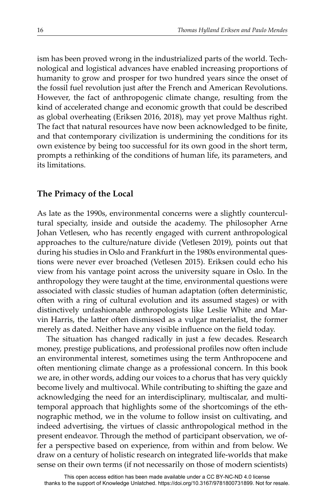ism has been proved wrong in the industrialized parts of the world. Technological and logistical advances have enabled increasing proportions of humanity to grow and prosper for two hundred years since the onset of the fossil fuel revolution just after the French and American Revolutions. However, the fact of anthropogenic climate change, resulting from the kind of accelerated change and economic growth that could be described as global overheating (Eriksen 2016, 2018), may yet prove Malthus right. The fact that natural resources have now been acknowledged to be finite, and that contemporary civilization is undermining the conditions for its own existence by being too successful for its own good in the short term, prompts a rethinking of the conditions of human life, its parameters, and its limitations.

### **The Primacy of the Local**

As late as the 1990s, environmental concerns were a slightly countercultural specialty, inside and outside the academy. The philosopher Arne Johan Vetlesen, who has recently engaged with current anthropological approaches to the culture/nature divide (Vetlesen 2019), points out that during his studies in Oslo and Frankfurt in the 1980s environmental questions were never ever broached (Vetlesen 2015). Eriksen could echo his view from his vantage point across the university square in Oslo. In the anthropology they were taught at the time, environmental questions were associated with classic studies of human adaptation (often deterministic, often with a ring of cultural evolution and its assumed stages) or with distinctively unfashionable anthropologists like Leslie White and Marvin Harris, the latter often dismissed as a vulgar materialist, the former merely as dated. Neither have any visible influence on the field today.

The situation has changed radically in just a few decades. Research money, prestige publications, and professional profiles now often include an environmental interest, sometimes using the term Anthropocene and often mentioning climate change as a professional concern. In this book we are, in other words, adding our voices to a chorus that has very quickly become lively and multivocal. While contributing to shifting the gaze and acknowledging the need for an interdisciplinary, multiscalar, and multitemporal approach that highlights some of the shortcomings of the ethnographic method, we in the volume to follow insist on cultivating, and indeed advertising, the virtues of classic anthropological method in the present endeavor. Through the method of participant observation, we offer a perspective based on experience, from within and from below. We draw on a century of holistic research on integrated life-worlds that make sense on their own terms (if not necessarily on those of modern scientists)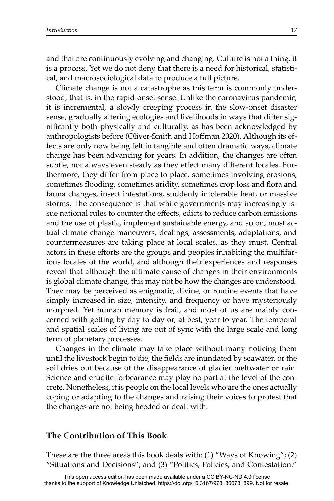and that are continuously evolving and changing. Culture is not a thing, it is a process. Yet we do not deny that there is a need for historical, statistical, and macrosociological data to produce a full picture.

Climate change is not a catastrophe as this term is commonly understood, that is, in the rapid-onset sense. Unlike the coronavirus pandemic, it is incremental, a slowly creeping process in the slow-onset disaster sense, gradually altering ecologies and livelihoods in ways that differ signifi cantly both physically and culturally, as has been acknowledged by anthropologists before (Oliver-Smith and Hoffman 2020). Although its effects are only now being felt in tangible and often dramatic ways, climate change has been advancing for years. In addition, the changes are often subtle, not always even steady as they effect many different locales. Furthermore, they differ from place to place, sometimes involving erosions, sometimes flooding, sometimes aridity, sometimes crop loss and flora and fauna changes, insect infestations, suddenly intolerable heat, or massive storms. The consequence is that while governments may increasingly issue national rules to counter the effects, edicts to reduce carbon emissions and the use of plastic, implement sustainable energy, and so on, most actual climate change maneuvers, dealings, assessments, adaptations, and countermeasures are taking place at local scales, as they must. Central actors in these efforts are the groups and peoples inhabiting the multifarious locales of the world, and although their experiences and responses reveal that although the ultimate cause of changes in their environments is global climate change, this may not be how the changes are understood. They may be perceived as enigmatic, divine, or routine events that have simply increased in size, intensity, and frequency or have mysteriously morphed. Yet human memory is frail, and most of us are mainly concerned with getting by day to day or, at best, year to year. The temporal and spatial scales of living are out of sync with the large scale and long term of planetary processes.

Changes in the climate may take place without many noticing them until the livestock begin to die, the fields are inundated by seawater, or the soil dries out because of the disappearance of glacier meltwater or rain. Science and erudite forbearance may play no part at the level of the concrete. Nonetheless, it is people on the local levels who are the ones actually coping or adapting to the changes and raising their voices to protest that the changes are not being heeded or dealt with.

## **The Contribution of This Book**

These are the three areas this book deals with: (1) "Ways of Knowing"; (2) "Situations and Decisions"; and (3) "Politics, Policies, and Contestation."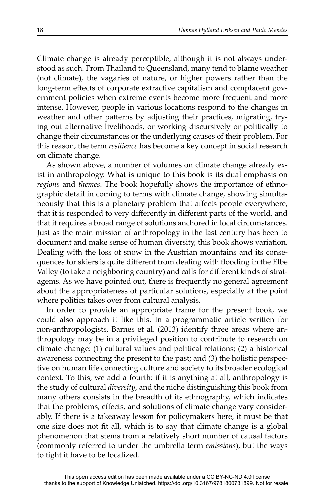Climate change is already perceptible, although it is not always understood as such. From Thailand to Queensland, many tend to blame weather (not climate), the vagaries of nature, or higher powers rather than the long-term effects of corporate extractive capitalism and complacent government policies when extreme events become more frequent and more intense. However, people in various locations respond to the changes in weather and other patterns by adjusting their practices, migrating, trying out alternative livelihoods, or working discursively or politically to change their circumstances or the underlying causes of their problem. For this reason, the term *resilience* has become a key concept in social research on climate change.

As shown above, a number of volumes on climate change already exist in anthropology. What is unique to this book is its dual emphasis on *regions* and *themes*. The book hopefully shows the importance of ethnographic detail in coming to terms with climate change, showing simultaneously that this is a planetary problem that affects people everywhere, that it is responded to very differently in different parts of the world, and that it requires a broad range of solutions anchored in local circumstances. Just as the main mission of anthropology in the last century has been to document and make sense of human diversity, this book shows variation. Dealing with the loss of snow in the Austrian mountains and its consequences for skiers is quite different from dealing with flooding in the Elbe Valley (to take a neighboring country) and calls for different kinds of stratagems. As we have pointed out, there is frequently no general agreement about the appropriateness of particular solutions, especially at the point where politics takes over from cultural analysis.

In order to provide an appropriate frame for the present book, we could also approach it like this. In a programmatic article written for non-anthropologists, Barnes et al. (2013) identify three areas where anthropology may be in a privileged position to contribute to research on climate change: (1) cultural values and political relations; (2) a historical awareness connecting the present to the past; and (3) the holistic perspective on human life connecting culture and society to its broader ecological context. To this, we add a fourth: if it is anything at all, anthropology is the study of cultural *diversity*, and the niche distinguishing this book from many others consists in the breadth of its ethnography, which indicates that the problems, effects, and solutions of climate change vary considerably. If there is a takeaway lesson for policymakers here, it must be that one size does not fit all, which is to say that climate change is a global phenomenon that stems from a relatively short number of causal factors (commonly referred to under the umbrella term *emissions*), but the ways to fight it have to be localized.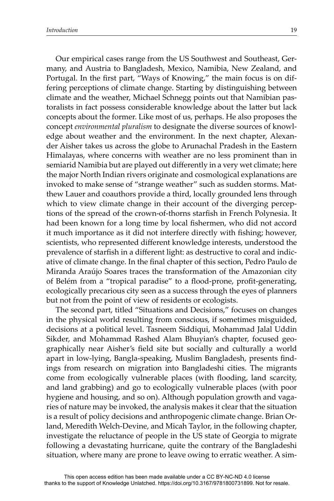Our empirical cases range from the US Southwest and Southeast, Germany, and Austria to Bangladesh, Mexico, Namibia, New Zealand, and Portugal. In the first part, "Ways of Knowing," the main focus is on differing perceptions of climate change. Starting by distinguishing between climate and the weather, Michael Schnegg points out that Namibian pastoralists in fact possess considerable knowledge about the latter but lack concepts about the former. Like most of us, perhaps. He also proposes the concept *environmental pluralism* to designate the diverse sources of knowledge about weather and the environment. In the next chapter, Alexander Aisher takes us across the globe to Arunachal Pradesh in the Eastern Himalayas, where concerns with weather are no less prominent than in semiarid Namibia but are played out differently in a very wet climate; here the major North Indian rivers originate and cosmological explanations are invoked to make sense of "strange weather" such as sudden storms. Matthew Lauer and coauthors provide a third, locally grounded lens through which to view climate change in their account of the diverging perceptions of the spread of the crown-of-thorns starfish in French Polynesia. It had been known for a long time by local fishermen, who did not accord it much importance as it did not interfere directly with fishing; however, scientists, who represented different knowledge interests, understood the prevalence of starfish in a different light: as destructive to coral and indicative of climate change. In the final chapter of this section, Pedro Paulo de Miranda Araújo Soares traces the transformation of the Amazonian city of Belém from a "tropical paradise" to a flood-prone, profit-generating, ecologically precarious city seen as a success through the eyes of planners but not from the point of view of residents or ecologists.

The second part, titled "Situations and Decisions," focuses on changes in the physical world resulting from conscious, if sometimes misguided, decisions at a political level. Tasneem Siddiqui, Mohammad Jalal Uddin Sikder, and Mohammad Rashed Alam Bhuyian's chapter, focused geographically near Aisher's field site but socially and culturally a world apart in low-lying, Bangla-speaking, Muslim Bangladesh, presents findings from research on migration into Bangladeshi cities. The migrants come from ecologically vulnerable places (with flooding, land scarcity, and land grabbing) and go to ecologically vulnerable places (with poor hygiene and housing, and so on). Although population growth and vagaries of nature may be invoked, the analysis makes it clear that the situation is a result of policy decisions and anthropogenic climate change. Brian Orland, Meredith Welch-Devine, and Micah Taylor, in the following chapter, investigate the reluctance of people in the US state of Georgia to migrate following a devastating hurricane, quite the contrary of the Bangladeshi situation, where many are prone to leave owing to erratic weather. A sim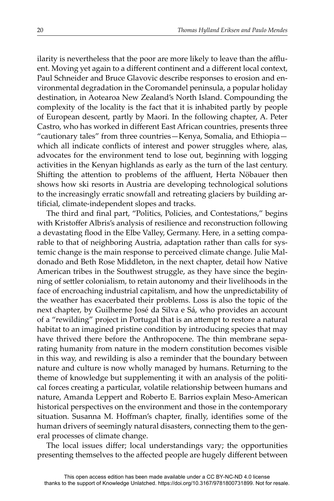ilarity is nevertheless that the poor are more likely to leave than the affluent. Moving yet again to a different continent and a different local context, Paul Schneider and Bruce Glavovic describe responses to erosion and environmental degradation in the Coromandel peninsula, a popular holiday destination, in Aotearoa New Zealand's North Island. Compounding the complexity of the locality is the fact that it is inhabited partly by people of European descent, partly by Maori. In the following chapter, A. Peter Castro, who has worked in different East African countries, presents three "cautionary tales" from three countries—Kenya, Somalia, and Ethiopia which all indicate conflicts of interest and power struggles where, alas, advocates for the environment tend to lose out, beginning with logging activities in the Kenyan highlands as early as the turn of the last century. Shifting the attention to problems of the affluent, Herta Nöbauer then shows how ski resorts in Austria are developing technological solutions to the increasingly erratic snowfall and retreating glaciers by building artificial, climate-independent slopes and tracks.

The third and final part, "Politics, Policies, and Contestations," begins with Kristoffer Albris's analysis of resilience and reconstruction following a devastating flood in the Elbe Valley, Germany. Here, in a setting comparable to that of neighboring Austria, adaptation rather than calls for systemic change is the main response to perceived climate change. Julie Maldonado and Beth Rose Middleton, in the next chapter, detail how Native American tribes in the Southwest struggle, as they have since the beginning of settler colonialism, to retain autonomy and their livelihoods in the face of encroaching industrial capitalism, and how the unpredictability of the weather has exacerbated their problems. Loss is also the topic of the next chapter, by Guilherme José da Silva e Sá, who provides an account of a "rewilding" project in Portugal that is an attempt to restore a natural habitat to an imagined pristine condition by introducing species that may have thrived there before the Anthropocene. The thin membrane separating humanity from nature in the modern constitution becomes visible in this way, and rewilding is also a reminder that the boundary between nature and culture is now wholly managed by humans. Returning to the theme of knowledge but supplementing it with an analysis of the political forces creating a particular, volatile relationship between humans and nature, Amanda Leppert and Roberto E. Barrios explain Meso-American historical perspectives on the environment and those in the contemporary situation. Susanna M. Hoffman's chapter, finally, identifies some of the human drivers of seemingly natural disasters, connecting them to the general processes of climate change.

The local issues differ; local understandings vary; the opportunities presenting themselves to the affected people are hugely different between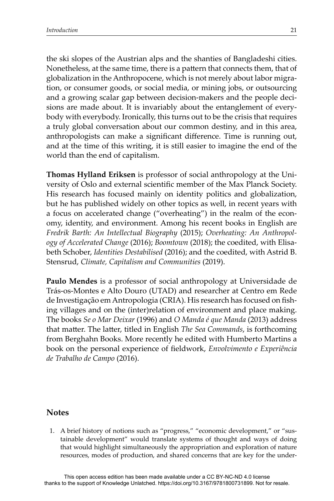the ski slopes of the Austrian alps and the shanties of Bangladeshi cities. Nonetheless, at the same time, there is a pattern that connects them, that of globalization in the Anthropocene, which is not merely about labor migration, or consumer goods, or social media, or mining jobs, or outsourcing and a growing scalar gap between decision-makers and the people decisions are made about. It is invariably about the entanglement of everybody with everybody. Ironically, this turns out to be the crisis that requires a truly global conversation about our common destiny, and in this area, anthropologists can make a significant difference. Time is running out, and at the time of this writing, it is still easier to imagine the end of the world than the end of capitalism.

**Thomas Hylland Eriksen** is professor of social anthropology at the University of Oslo and external scientific member of the Max Planck Society. His research has focused mainly on identity politics and globalization, but he has published widely on other topics as well, in recent years with a focus on accelerated change ("overheating") in the realm of the economy, identity, and environment. Among his recent books in English are *Fredrik Barth: An Intellectual Biography* (2015); *Overheating: An Anthropology of Accelerated Change* (2016); *Boomtown* (2018); the coedited, with Elisabeth Schober, *Identities Destabilised* (2016); and the coedited, with Astrid B. Stensrud, *Climate, Capitalism and Communities* (2019).

**Paulo Mendes** is a professor of social anthropology at Universidade de Trás-os-Montes e Alto Douro (UTAD) and researcher at Centro em Rede de Investigação em Antropologia (CRIA). His research has focused on fishing villages and on the (inter)relation of environment and place making. The books *Se o Mar Deixar* (1996) and *O Manda é que Manda* (2013) address that matter. The latter, titled in English *The Sea Commands*, is forthcoming from Berghahn Books. More recently he edited with Humberto Martins a book on the personal experience of fieldwork, *Envolvimento e Experiência de Trabalho de Campo* (2016).

#### **Notes**

1. A brief history of notions such as "progress," "economic development," or "sustainable development" would translate systems of thought and ways of doing that would highlight simultaneously the appropriation and exploration of nature resources, modes of production, and shared concerns that are key for the under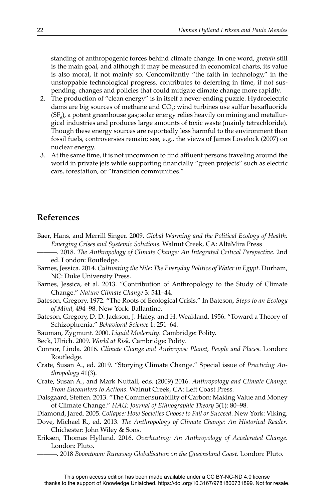standing of anthropogenic forces behind climate change. In one word, *growth* still is the main goal, and although it may be measured in economical charts, its value is also moral, if not mainly so. Concomitantly "the faith in technology," in the unstoppable technological progress, contributes to deferring in time, if not suspending, changes and policies that could mitigate climate change more rapidly.

- 2. The production of "clean energy" is in itself a never-ending puzzle. Hydroelectric dams are big sources of methane and  $CO_{2}$ ; wind turbines use sulfur hexafluoride (SF $_{\rm e}$ ), a potent greenhouse gas; solar energy relies heavily on mining and metallurgical industries and produces large amounts of toxic waste (mainly tetrachloride). Though these energy sources are reportedly less harmful to the environment than fossil fuels, controversies remain; see, e.g., the views of James Lovelock (2007) on nuclear energy.
- 3. At the same time, it is not uncommon to find affluent persons traveling around the world in private jets while supporting financially "green projects" such as electric cars, forestation, or "transition communities."

### **References**

- Baer, Hans, and Merrill Singer. 2009. *Global Warming and the Political Ecology of Health: Emerging Crises and Systemic Solutions*. Walnut Creek, CA: AltaMira Press
- ———. 2018. *The Anthropology of Climate Change: An Integrated Critical Perspective*. 2nd ed. London: Routledge.
- Barnes, Jessica. 2014. *Cultivating the Nile: The Everyday Politics of Water in Egypt*. Durham, NC: Duke University Press.
- Barnes, Jessica, et al. 2013. "Contribution of Anthropology to the Study of Climate Change." *Nature Climate Change* 3: 541–44.
- Bateson, Gregory. 1972. "The Roots of Ecological Crisis." In Bateson, *Steps to an Ecology of Mind*, 494–98. New York: Ballantine.
- Bateson, Gregory, D. D. Jackson, J. Haley, and H. Weakland. 1956. "Toward a Theory of Schizophrenia." *Behavioral Science* 1: 251–64.
- Bauman, Zygmunt. 2000. *Liquid Modernity*. Cambridge: Polity.
- Beck, Ulrich. 2009. *World at Risk*. Cambridge: Polity.
- Connor, Linda. 2016. *Climate Change and Anthropos: Planet, People and Places*. London: Routledge.
- Crate, Susan A., ed. 2019. "Storying Climate Change." Special issue of *Practicing Anthropology* 41(3).
- Crate, Susan A., and Mark Nuttall, eds. (2009) 2016. *Anthropology and Climate Change:* From Encounters to Actions. Walnut Creek, CA: Left Coast Press.
- Dalsgaard, Steffen. 2013. "The Commensurability of Carbon: Making Value and Money of Climate Change." *HAU: Journal of Ethnographic Theory* 3(1): 80–98.
- Diamond, Jared. 2005. *Collapse: How Societies Choose to Fail or Succeed*. New York: Viking.
- Dove, Michael R., ed. 2013. *The Anthropology of Climate Change: An Historical Reader*. Chichester: John Wiley & Sons.
- Eriksen, Thomas Hylland. 2016. *Overheating: An Anthropology of Accelerated Change*. London: Pluto.
	- ———. 2018 *Boomtown: Runaway Globalisation on the Queensland Coast*. London: Pluto.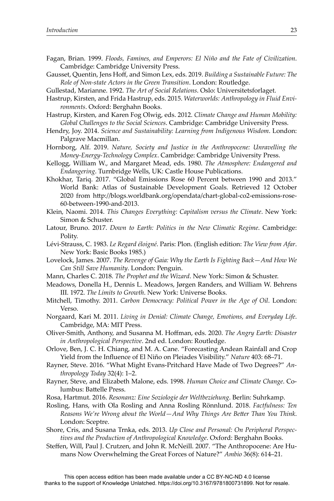- Fagan, Brian. 1999. *Floods, Famines, and Emperors: El Niño and the Fate of Civilization*. Cambridge: Cambridge University Press.
- Gausset, Quentin, Jens Hoff , and Simon Lex, eds. 2019. *Building a Sustainable Future: The Role of Non-state Actors in the Green Transition*. London: Routledge.
- Gullestad, Marianne. 1992. *The Art of Social Relations*. Oslo: Universitetsforlaget.
- Hastrup, Kirsten, and Frida Hastrup, eds. 2015. *Waterworlds: Anthropology in Fluid Environments*. Oxford: Berghahn Books.
- Hastrup, Kirsten, and Karen Fog Olwig, eds. 2012. *Climate Change and Human Mobility: Global Challenges to the Social Sciences*. Cambridge: Cambridge University Press.
- Hendry, Joy. 2014. *Science and Sustainability: Learning from Indigenous Wisdom*. London: Palgrave Macmillan.
- Hornborg, Alf. 2019. *Nature, Society and Justice in the Anthropocene: Unravelling the Money-Energy-Technology Complex*. Cambridge: Cambridge University Press.
- Kellogg, William W., and Margaret Mead, eds. 1980. *The Atmosphere: Endangered and Endangering*. Turnbridge Wells, UK: Castle House Publications.
- Khokhar, Tariq. 2017. "Global Emissions Rose 60 Percent between 1990 and 2013." World Bank: Atlas of Sustainable Development Goals. Retrieved 12 October 2020 from http://blogs.worldbank.org/opendata/chart-global-co2-emissions-rose-60-between-1990-and-2013.
- Klein, Naomi. 2014. *This Changes Everything: Capitalism versus the Climate*. New York: Simon & Schuster.
- Latour, Bruno. 2017. *Down to Earth: Politics in the New Climatic Regime*. Cambridge: Polity.
- Lévi-Strauss, C. 1983. *Le Regard éloigné*. Paris: Plon. (English edition: *The View from Afar*. New York: Basic Books 1985.)
- Lovelock, James. 2007. *The Revenge of Gaia: Why the Earth Is Fighting Back—And How We Can Still Save Humanity*. London: Penguin.
- Mann, Charles C. 2018. *The Prophet and the Wizard*. New York: Simon & Schuster.
- Meadows, Donella H., Dennis L. Meadows, Jørgen Randers, and William W. Behrens III. 1972. *The Limits to Growth*. New York: Universe Books.
- Mitchell, Timothy. 2011. *Carbon Democracy: Political Power in the Age of Oil*. London: Verso.
- Norgaard, Kari M. 2011. *Living in Denial: Climate Change, Emotions, and Everyday Life*. Cambridge, MA: MIT Press.
- Oliver-Smith, Anthony, and Susanna M. Hoff man, eds. 2020. *The Angry Earth: Disaster in Anthropological Perspective*. 2nd ed. London: Routledge.
- Orlove, Ben, J. C. H. Chiang, and M. A. Cane. "Forecasting Andean Rainfall and Crop Yield from the Influence of El Niño on Pleiades Visibility." *Nature* 403: 68–71.
- Rayner, Steve. 2016. "What Might Evans-Pritchard Have Made of Two Degrees?" *Anthropology Today* 32(4): 1–2.
- Rayner, Steve, and Elizabeth Malone, eds. 1998. *Human Choice and Climate Change*. Columbus: Battelle Press.
- Rosa, Hartmut. 2016. *Resonanz: Eine Soziologie der Weltbeziehung*. Berlin: Suhrkamp.
- Rosling, Hans, with Ola Rosling and Anna Rosling Rönnlund. 2018. *Factfulness: Ten Reasons We're Wrong about the World—And Why Things Are BeĴ er Than You Think*. London: Sceptre.
- Shore, Cris, and Susana Trnka, eds. 2013. *Up Close and Personal: On Peripheral Perspectives and the Production of Anthropological Knowledge*. Oxford: Berghahn Books.
- Steffen, Will, Paul J. Crutzen, and John R. McNeill. 2007. "The Anthropocene: Are Humans Now Overwhelming the Great Forces of Nature?" *Ambio* 36(8): 614–21.